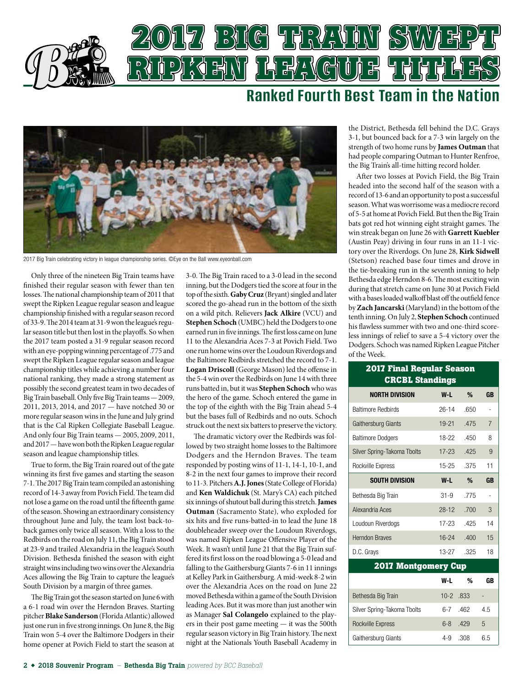

## **Ranked Fourth Best Team in the Nation**



2017 Big Train celebrating victory in league championship series. ©Eye on the Ball [www.eyeonball.com](http://www.eyeonball.com/)

Only three of the nineteen Big Train teams have fnished their regular season with fewer than ten losses. The national championship team of 2011 that swept the Ripken League regular season and league championship fnished with a regular season record of 33-9. The 2014 team at 31-9 won the league's regular season title but then lost in the playofs. So when the 2017 team posted a 31-9 regular season record with an eye-popping winning percentage of .775 and swept the Ripken League regular season and league championship titles while achieving a number four national ranking, they made a strong statement as possibly the second greatest team in two decades of Big Train baseball. Only fve Big Train teams — 2009, 2011, 2013, 2014, and 2017 — have notched 30 or more regular season wins in the June and July grind that is the Cal Ripken Collegiate Baseball League. And only four Big Train teams — 2005, 2009, 2011, and 2017 — have won both the Ripken League regular season and league championship titles.

True to form, the Big Train roared out of the gate winning its frst fve games and starting the season 7-1. The 2017 Big Train team compiled an astonishing record of 14-3 away from Povich Field. The team did not lose a game on the road until the fifteenth game of the season. Showing an extraordinary consistency throughout June and July, the team lost back-toback games only twice all season. With a loss to the Redbirds on the road on July 11, the Big Train stood at 23-9 and trailed Alexandria in the league's South Division. Bethesda fnished the season with eight straight wins including two wins over the Alexandria Aces allowing the Big Train to capture the league's South Division by a margin of three games.

The Big Train got the season started on June 6 with a 6-1 road win over the Herndon Braves. Starting pitcher **Blake Sanderson** (Florida Atlantic) allowed just one run in fve strong innings. On June 8, the Big Train won 5-4 over the Baltimore Dodgers in their home opener at Povich Field to start the season at

3-0. The Big Train raced to a 3-0 lead in the second inning, but the Dodgers tied the score at four in the top of the sixth. **Gaby Cruz** (Bryant) singled and later scored the go-ahead run in the bottom of the sixth on a wild pitch. Relievers **Jack Alkire** (VCU) and **Stephen Schoch** (UMBC) held the Dodgers to one earned run in five innings. The first loss came on June 11 to the Alexandria Aces 7-3 at Povich Field. Two one run home wins over the Loudoun Riverdogs and the Baltimore Redbirds stretched the record to 7-1. **Logan Driscoll** (George Mason) led the ofense in the 5-4 win over the Redbirds on June 14 with three runs batted in, but it was **Stephen Schoch** who was the hero of the game. Schoch entered the game in the top of the eighth with the Big Train ahead 5-4 but the bases full of Redbirds and no outs. Schoch struck out the next six batters to preserve the victory.

The dramatic victory over the Redbirds was followed by two straight home losses to the Baltimore Dodgers and the Herndon Braves. The team responded by posting wins of 11-1, 14-1, 10-1, and 8-2 in the next four games to improve their record to 11-3. Pitchers **A.J. Jones** (State College of Florida) and **Ken Waldichuk** (St. Mary's CA) each pitched six innings of shutout ball during this stretch. **James Outman** (Sacramento State), who exploded for six hits and fve runs-batted-in to lead the June 18 doubleheader sweep over the Loudoun Riverdogs, was named Ripken League Ofensive Player of the Week. It wasn't until June 21 that the Big Train suffered its frst loss on the road blowing a 5-0 lead and falling to the Gaithersburg Giants 7-6 in 11 innings at Kelley Park in Gaithersburg. A mid-week 8-2 win over the Alexandria Aces on the road on June 22 moved Bethesda within a game of the South Division leading Aces. But it was more than just another win as Manager **Sal Colangelo** explained to the players in their post game meeting — it was the 500th regular season victory in Big Train history. The next night at the Nationals Youth Baseball Academy in

the District, Bethesda fell behind the D.C. Grays 3-1, but bounced back for a 7-3 win largely on the strength of two home runs by **James Outman** that had people comparing Outman to Hunter Renfroe, the Big Train's all-time hitting record holder.

Afer two losses at Povich Field, the Big Train headed into the second half of the season with a record of 13-6 and an opportunity to post a successful season. What was worrisome was a mediocre record of 5-5 at home at Povich Field. But then the Big Train bats got red hot winning eight straight games. The win streak began on June 26 with **Garrett Kuebler** (Austin Peay) driving in four runs in an 11-1 victory over the Riverdogs. On June 28, **Kirk Sidwell** (Stetson) reached base four times and drove in the tie-breaking run in the seventh inning to help Bethesda edge Herndon 8-6. The most exciting win during that stretch came on June 30 at Povich Field with a bases loaded walkoff blast off the outfield fence by **Zach Jancarski** (Maryland) in the bottom of the tenth inning. On July 2, **Stephen Schoch** continued his fawless summer with two and one-third scoreless innings of relief to save a 5-4 victory over the Dodgers. Schoch was named Ripken League Pitcher of the Week.

| <u>2017 Final Regular</u> Season<br><b>CRCBL Standings</b> |           |      |                |  |  |
|------------------------------------------------------------|-----------|------|----------------|--|--|
| <b>NORTH DIVISION</b>                                      | $W-L$     | %    | <b>GB</b>      |  |  |
| <b>Baltimore Redbirds</b>                                  | 26-14     | .650 |                |  |  |
| Gaithersburg Giants                                        | $19-21$   | .475 | $\overline{7}$ |  |  |
| <b>Baltimore Dodgers</b>                                   | 18-22     | .450 | 8              |  |  |
| Silver Spring-Takoma Tbolts                                | $17 - 23$ | .425 | 9              |  |  |
| Rockville Express                                          | 15-25     | .375 | 11             |  |  |
| <b>SOUTH DIVISION</b>                                      | W-L       | %    | <b>GB</b>      |  |  |
| Bethesda Big Train                                         | $31-9$    | .775 |                |  |  |
| Alexandria Aces                                            | $28-12$   | .700 | 3              |  |  |
| Loudoun Riverdogs                                          | 17-23     | .425 | 14             |  |  |
| <b>Herndon Braves</b>                                      | $16 - 24$ | .400 | 15             |  |  |
| D.C. Grays                                                 | $13-27$   | .325 | 18             |  |  |
| <b>2017 Montgomery Cup</b>                                 |           |      |                |  |  |
|                                                            | W-L       | %    | GB             |  |  |
| Bethesda Big Train                                         | $10-2$    | .833 |                |  |  |
| Silver Spring-Takoma Tbolts                                | $6 - 7$   | .462 | 4.5            |  |  |
| <b>Rockville Express</b>                                   | $6 - 8$   | .429 | 5              |  |  |
| Gaithersburg Giants                                        | 4-9       | .308 | 6.5            |  |  |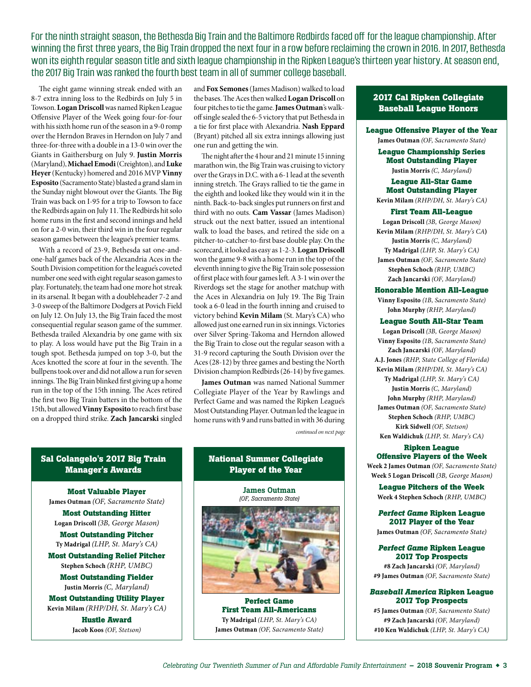For the ninth straight season, the Bethesda Big Train and the Baltimore Redbirds faced of for the league championship. After winning the first three years, the Big Train dropped the next four in a row before reclaiming the crown in 2016. In 2017, Bethesda won its eighth regular season title and sixth league championship in the Ripken League's thirteen year history. At season end, the 2017 Big Train was ranked the fourth best team in all of summer college baseball.

The eight game winning streak ended with an 8-7 extra inning loss to the Redbirds on July 5 in Towson. **Logan Driscoll** was named Ripken League Ofensive Player of the Week going four-for-four with his sixth home run of the season in a 9-0 romp over the Herndon Braves in Herndon on July 7 and three-for-three with a double in a 13-0 win over the Giants in Gaithersburg on July 9. **Justin Morris** (Maryland), **Michael Emodi** (Creighton), and **Luke Heyer** (Kentucky) homered and 2016 MVP **Vinny Esposito** (Sacramento State) blasted a grand slam in the Sunday night blowout over the Giants. The Big Train was back on I-95 for a trip to Towson to face the Redbirds again on July 11. The Redbirds hit solo home runs in the frst and second innings and held on for a 2-0 win, their third win in the four regular season games between the league's premier teams.

With a record of 23-9, Bethesda sat one-andone-half games back of the Alexandria Aces in the South Division competition for the league's coveted number one seed with eight regular season games to play. Fortunately, the team had one more hot streak in its arsenal. It began with a doubleheader 7-2 and 3-0 sweep of the Baltimore Dodgers at Povich Field on July 12. On July 13, the Big Train faced the most consequential regular season game of the summer. Bethesda trailed Alexandria by one game with six to play. A loss would have put the Big Train in a tough spot. Bethesda jumped on top 3-0, but the Aces knotted the score at four in the seventh. The bullpens took over and did not allow a run for seven innings. The Big Train blinked first giving up a home run in the top of the 15th inning. The Aces retired the frst two Big Train batters in the bottom of the 15th, but allowed **Vinny Esposito** to reach frst base on a dropped third strike. **Zach Jancarski** singled

and **Fox Semones** (James Madison) walked to load the bases. The Aces then walked **Logan Driscoll** on four pitches to tie the game. **James Outman**'s walkoff single sealed the 6-5 victory that put Bethesda in a tie for frst place with Alexandria. **Nash Eppard** (Bryant) pitched all six extra innings allowing just one run and getting the win.

The night after the 4 hour and 21 minute 15 inning marathon win, the Big Train was cruising to victory over the Grays in D.C. with a 6-1 lead at the seventh inning stretch. The Grays rallied to tie the game in the eighth and looked like they would win it in the ninth. Back-to-back singles put runners on frst and third with no outs. **Cam Vassar** (James Madison) struck out the next batter, issued an intentional walk to load the bases, and retired the side on a pitcher-to-catcher-to-frst base double play. On the scorecard, it looked as easy as 1-2-3. **Logan Driscoll**  won the game 9-8 with a home run in the top of the eleventh inning to give the Big Train sole possession of frst place with four games lef. A 3-1 win over the Riverdogs set the stage for another matchup with the Aces in Alexandria on July 19. The Big Train took a 6-0 lead in the fourth inning and cruised to victory behind **Kevin Milam** (St. Mary's CA) who allowed just one earned run in six innings. Victories over Silver Spring-Takoma and Herndon allowed the Big Train to close out the regular season with a 31-9 record capturing the South Division over the Aces (28-12) by three games and besting the North Division champion Redbirds (26-14) by fve games.

**James Outman** was named National Summer Collegiate Player of the Year by Rawlings and Perfect Game and was named the Ripken League's Most Outstanding Player. Outman led the league in home runs with 9 and runs batted in with 36 during *continued on next page*

#### **Sal Colangelo's 2017 Big Train Manager's Awards**

**Most Valuable Player James Outman** *(OF, Sacramento State)* 

**Most Outstanding Hitter Logan Driscoll** *(3B, George Mason)*

**Most Outstanding Pitcher Ty Madrigal** *(LHP, St. Mary's CA)*

**Most Outstanding Relief Pitcher Stephen Schoch** *(RHP, UMBC)* 

> **Most Outstanding Fielder Justin Morris** *(C, Maryland)*

**Most Outstanding Utility Player Kevin Milam** *(RHP/DH, St. Mary's CA)*

> **Hustle Award Jacob Koos** *(OF, Stetson)*

## **National Summer Collegiate Player of the Year**

James Outman *(OF, Sacramento State)* 



**Perfect Game First Team All-Americans Ty Madrigal** *(LHP, St. Mary's CA)* **James Outman** *(OF, Sacramento State)*

## **2017 Cal Ripken Collegiate Baseball League Honors**

**League Offensive Player of the Year James Outman** *(OF, Sacramento State)*

**League Championship Series Most Outstanding Player Justin Morris** *(C, Maryland)*

### **League All-Star Game Most Outstanding Player**

**Kevin Milam** *(RHP/DH, St. Mary's CA)*

#### **First Team All-League**

**Logan Driscoll** *(3B, George Mason)* **Kevin Milam** *(RHP/DH, St. Mary's CA***) Justin Morris** *(C, Maryland)* **Ty Madrigal** *(LHP, St. Mary's CA)* **James Outman** *(OF, Sacramento State)* **Stephen Schoch** *(RHP, UMBC)* **Zach Jancarski** *(OF, Maryland)*

#### **Honorable Mention All-League**

**Vinny Esposito** *(1B, Sacramento State)* **John Murphy** *(RHP, Maryland)*

#### **League South All-Star Team**

**Logan Driscoll** *(3B, George Mason)* **Vinny Esposito** *(1B, Sacramento State)* **Zach Jancarski** *(OF, Maryland)* **A.J. Jones** *(RHP, State College of Florida)* **Kevin Milam** *(RHP/DH, St. Mary's CA)* **Ty Madrigal** *(LHP, St. Mary's CA)* **Justin Morris** *(C, Maryland)* **John Murphy** *(RHP, Maryland)* **James Outman** *(OF, Sacramento State)* **Stephen Schoch** *(RHP, UMBC)* **Kirk Sidwell** *(OF, Stetson)* **Ken Waldichuk** *(LHP, St. Mary's CA)*

#### **Ripken League Offensive Players of the Week**

**Week 2 James Outman** *(OF, Sacramento State)* **Week 5 Logan Driscoll** *(3B, George Mason)*

**League Pitchers of the Week Week 4 Stephen Schoch** *(RHP, UMBC)*

*Perfect Game* **Ripken League 2017 Player of the Year James Outman** *(OF, Sacramento State)*

*Perfect Game* **Ripken League 2017 Top Prospects #8 Zach Jancarski** *(OF, Maryland)*

**#9 James Outman** *(OF, Sacramento State)*

#### *Baseball America* **Ripken League 2017 Top Prospects**

**#5 James Outman** *(OF, Sacramento State)* **#9 Zach Jancarski** *(OF, Maryland)* **#10 Ken Waldichuk** *(LHP, St. Mary's CA)*